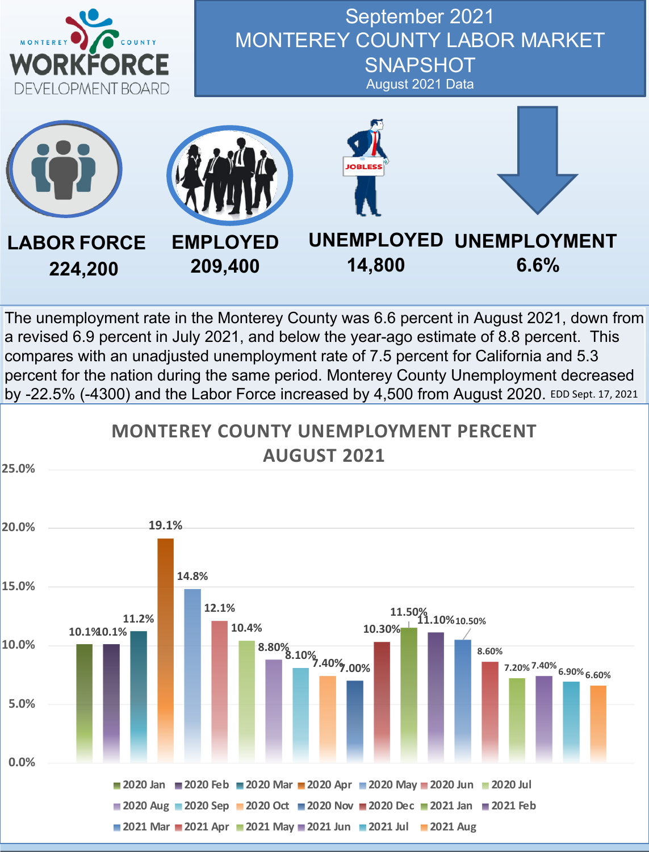



The unemployment rate in the Monterey County was 6.6 percent in August 2021, down from a revised 6.9 percent in July 2021, and below the year-ago estimate of 8.8 percent. This compares with an unadjusted unemployment rate of 7.5 percent for California and 5.3 percent for the nation during the same period. Monterey County Unemployment decreased by -22.5% (-4300) and the Labor Force increased by 4,500 from August 2020. EDD Sept. 17, 2021

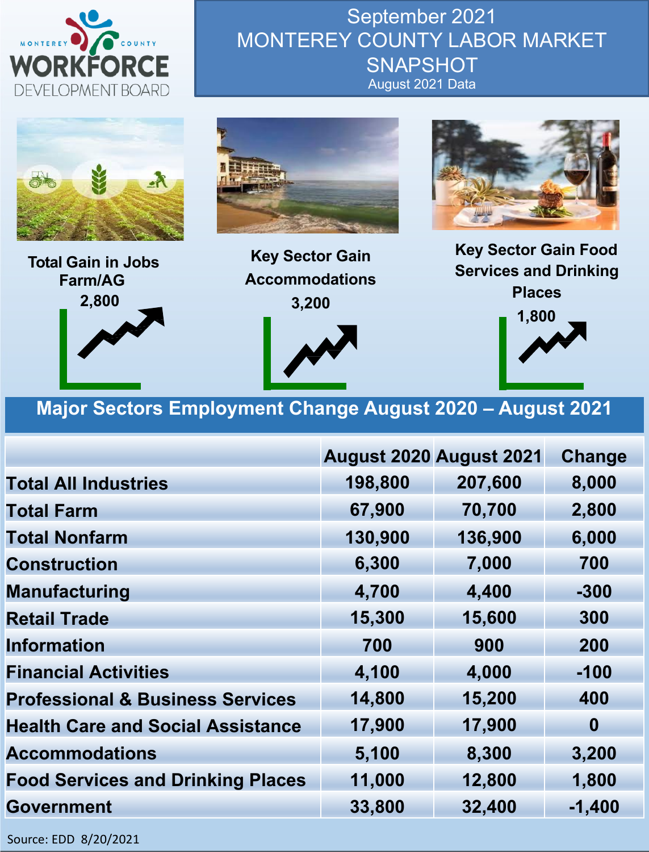



**Farm/AG 2,800**

**Key Sector Gain Accommodations 3,200**

**Services and Drinking Places 1,800**

### **Major Sectors Employment Change August 2020 – August 2021**

|                                             | August 2020 August 2021 |         | <b>Change</b> |
|---------------------------------------------|-------------------------|---------|---------------|
| <b>Total All Industries</b>                 | 198,800                 | 207,600 | 8,000         |
| <b>Total Farm</b>                           | 67,900                  | 70,700  | 2,800         |
| <b>Total Nonfarm</b>                        | 130,900                 | 136,900 | 6,000         |
| <b>Construction</b>                         | 6,300                   | 7,000   | 700           |
| <b>Manufacturing</b>                        | 4,700                   | 4,400   | $-300$        |
| <b>Retail Trade</b>                         | 15,300                  | 15,600  | 300           |
| <b>Information</b>                          | 700                     | 900     | 200           |
| <b>Financial Activities</b>                 | 4,100                   | 4,000   | $-100$        |
| <b>Professional &amp; Business Services</b> | 14,800                  | 15,200  | 400           |
| <b>Health Care and Social Assistance</b>    | 17,900                  | 17,900  | $\bf{0}$      |
| <b>Accommodations</b>                       | 5,100                   | 8,300   | 3,200         |
| <b>Food Services and Drinking Places</b>    | 11,000                  | 12,800  | 1,800         |
| <b>Government</b>                           | 33,800                  | 32,400  | $-1,400$      |

Source: EDD 8/20/2021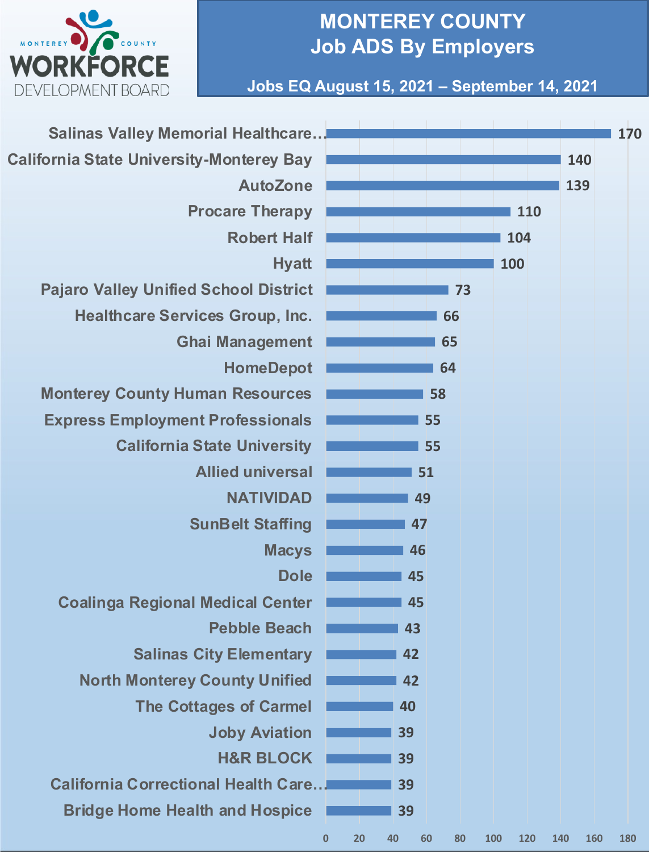

## **MONTEREY COUNTY Job ADS By Employers**

**Jobs EQ August 15, 2021 – September 14, 2021**

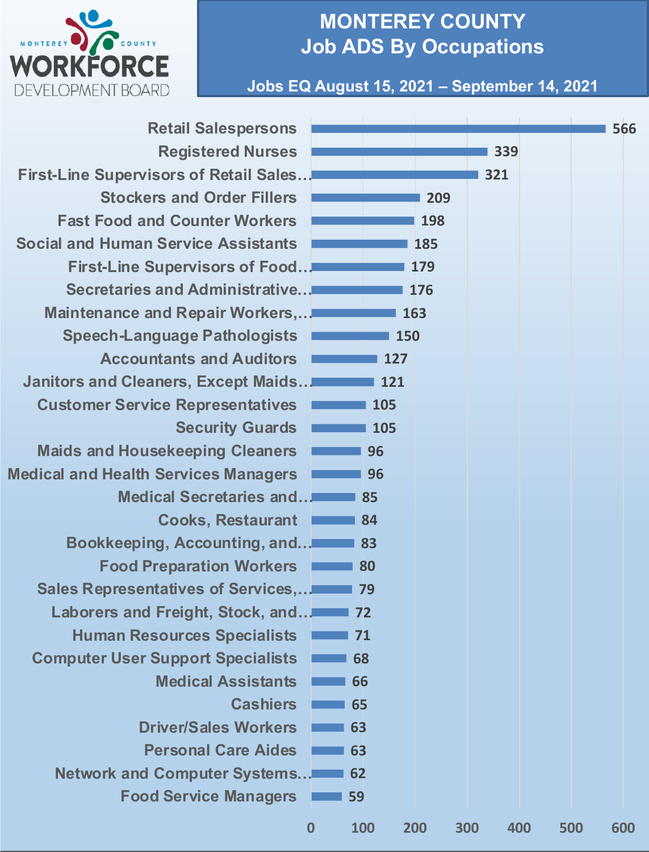

## **MONTEREY COUNTY Job ADS By Occupations**

**Jobs EQ August 15, 2021 – September 14, 2021**

| <b>Retail Salespersons</b>                    |             |            |     |     |     | 566        |
|-----------------------------------------------|-------------|------------|-----|-----|-----|------------|
| <b>Registered Nurses</b>                      |             |            |     | 339 |     |            |
| <b>First-Line Supervisors of Retail Sales</b> |             |            |     | 321 |     |            |
| <b>Stockers and Order Fillers</b>             |             |            | 209 |     |     |            |
| <b>Fast Food and Counter Workers</b>          |             |            | 198 |     |     |            |
| <b>Social and Human Service Assistants</b>    |             |            | 185 |     |     |            |
| <b>First-Line Supervisors of Food</b>         |             |            | 179 |     |     |            |
| Secretaries and Administrative                |             |            | 176 |     |     |            |
| Maintenance and Repair Workers,               |             |            | 163 |     |     |            |
| <b>Speech-Language Pathologists</b>           |             | <b>150</b> |     |     |     |            |
| <b>Accountants and Auditors</b>               |             | 127        |     |     |     |            |
| Janitors and Cleaners, Except Maids           |             | 121        |     |     |     |            |
| <b>Customer Service Representatives</b>       |             | 105        |     |     |     |            |
| <b>Security Guards</b>                        |             | 105        |     |     |     |            |
| <b>Maids and Housekeeping Cleaners</b>        |             | 96         |     |     |     |            |
| <b>Medical and Health Services Managers</b>   |             | 96         |     |     |     |            |
| Medical Secretaries and                       |             | 85         |     |     |     |            |
| <b>Cooks, Restaurant</b>                      |             | 84         |     |     |     |            |
| Bookkeeping, Accounting, and                  |             | 83         |     |     |     |            |
| <b>Food Preparation Workers</b>               |             | 80         |     |     |     |            |
| Sales Representatives of Services,            |             | 79         |     |     |     |            |
| Laborers and Freight, Stock, and              |             | 72         |     |     |     |            |
| <b>Human Resources Specialists</b>            |             | 71         |     |     |     |            |
| <b>Computer User Support Specialists</b>      |             | 68         |     |     |     |            |
| <b>Medical Assistants</b>                     |             | 66         |     |     |     |            |
| <b>Cashiers</b>                               |             | 65         |     |     |     |            |
| <b>Driver/Sales Workers</b>                   |             | 63         |     |     |     |            |
| <b>Personal Care Aides</b>                    |             | 63         |     |     |     |            |
| <b>Network and Computer Systems</b>           |             | 62         |     |     |     |            |
| <b>Food Service Managers</b>                  |             | 59         |     |     |     |            |
|                                               | $\mathbf 0$ | <b>100</b> | 200 | 300 | 400 | 500<br>600 |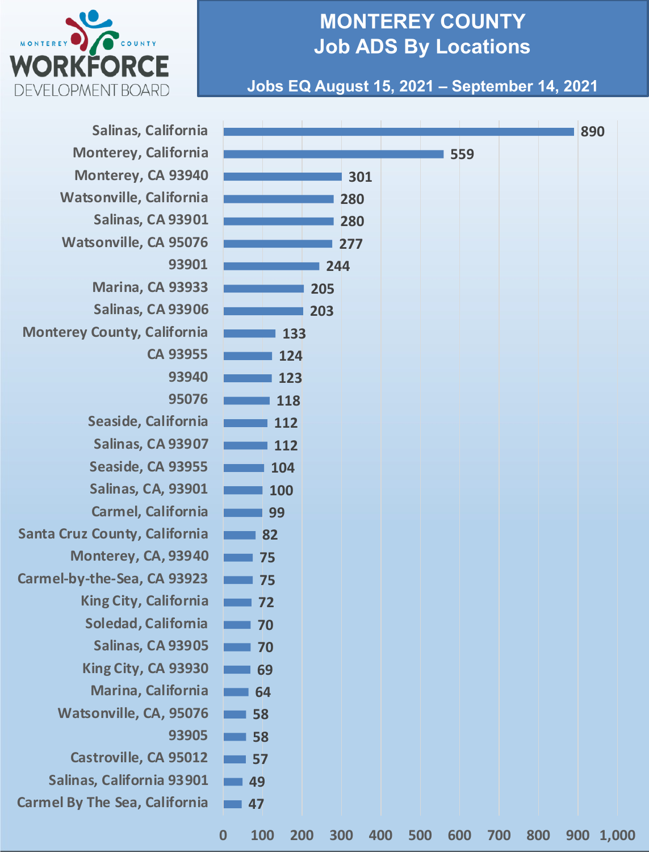

## **MONTEREY COUNTY Job ADS By Locations**

#### **Jobs EQ August 15, 2021 – September 14, 2021**

| Salinas, California                  |                   |                   |     |     |     |     |     |     |     | 890 |           |
|--------------------------------------|-------------------|-------------------|-----|-----|-----|-----|-----|-----|-----|-----|-----------|
| Monterey, California                 |                   |                   |     |     |     |     | 559 |     |     |     |           |
| Monterey, CA 93940                   |                   |                   |     | 301 |     |     |     |     |     |     |           |
| Watsonville, California              |                   |                   |     | 280 |     |     |     |     |     |     |           |
| Salinas, CA 93901                    |                   |                   |     | 280 |     |     |     |     |     |     |           |
| <b>Watsonville, CA 95076</b>         |                   |                   |     | 277 |     |     |     |     |     |     |           |
| 93901                                |                   |                   |     | 244 |     |     |     |     |     |     |           |
| <b>Marina, CA 93933</b>              |                   |                   | 205 |     |     |     |     |     |     |     |           |
| Salinas, CA 93906                    |                   |                   | 203 |     |     |     |     |     |     |     |           |
| <b>Monterey County, California</b>   |                   | 133               |     |     |     |     |     |     |     |     |           |
| CA 93955                             |                   | 124               |     |     |     |     |     |     |     |     |           |
| 93940                                |                   | 123               |     |     |     |     |     |     |     |     |           |
| 95076                                |                   | 118               |     |     |     |     |     |     |     |     |           |
| Seaside, California                  |                   | 112               |     |     |     |     |     |     |     |     |           |
| Salinas, CA 93907                    |                   | 112               |     |     |     |     |     |     |     |     |           |
| Seaside, CA 93955                    |                   | 104               |     |     |     |     |     |     |     |     |           |
| <b>Salinas, CA, 93901</b>            |                   | 100               |     |     |     |     |     |     |     |     |           |
| <b>Carmel, California</b>            |                   | 99                |     |     |     |     |     |     |     |     |           |
| <b>Santa Cruz County, California</b> |                   | 82                |     |     |     |     |     |     |     |     |           |
| Monterey, CA, 93940                  |                   | 75                |     |     |     |     |     |     |     |     |           |
| Carmel-by-the-Sea, CA 93923          |                   | 75                |     |     |     |     |     |     |     |     |           |
| <b>King City, California</b>         |                   | 72                |     |     |     |     |     |     |     |     |           |
| Soledad, California                  |                   | 70                |     |     |     |     |     |     |     |     |           |
| Salinas, CA 93905                    |                   | 70                |     |     |     |     |     |     |     |     |           |
| King City, CA 93930                  |                   | 69                |     |     |     |     |     |     |     |     |           |
| Marina, California                   |                   | 64                |     |     |     |     |     |     |     |     |           |
| Watsonville, CA, 95076               |                   | 58                |     |     |     |     |     |     |     |     |           |
| 93905                                | $\blacksquare$ 58 |                   |     |     |     |     |     |     |     |     |           |
| Castroville, CA 95012                |                   | 57                |     |     |     |     |     |     |     |     |           |
| Salinas, California 93901            | 49                |                   |     |     |     |     |     |     |     |     |           |
| <b>Carmel By The Sea, California</b> | 47                |                   |     |     |     |     |     |     |     |     |           |
|                                      | $\boldsymbol{0}$  | <b>100</b><br>200 |     | 300 | 400 | 500 | 600 | 700 | 800 |     | 900 1,000 |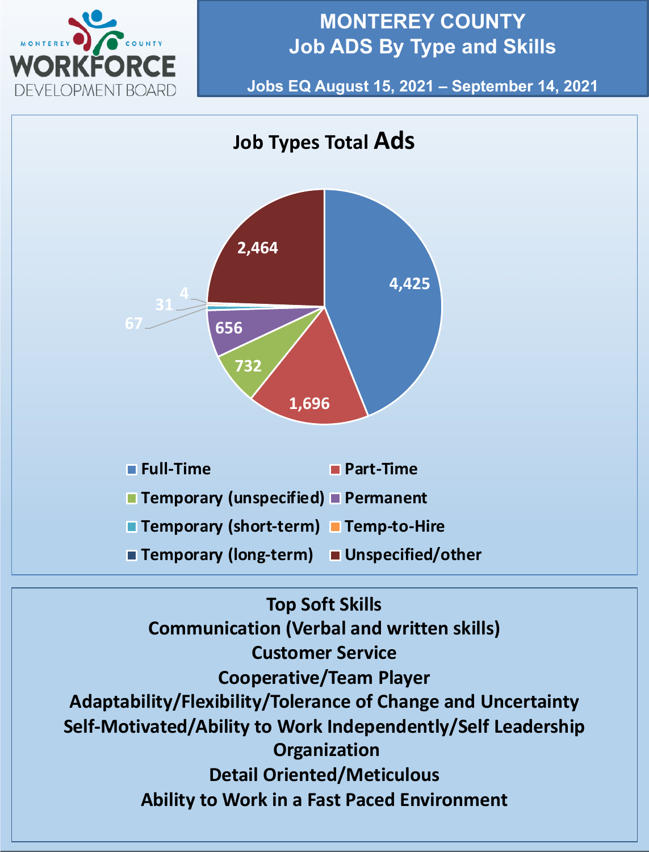

## **MONTEREY COUNTY Job ADS By Type and Skills**

**Jobs EQ August 15, 2021 – September 14, 2021**



**Self-Motivated/Ability to Work Independently/Self Leadership Organization Detail Oriented/Meticulous Ability to Work in a Fast Paced Environment**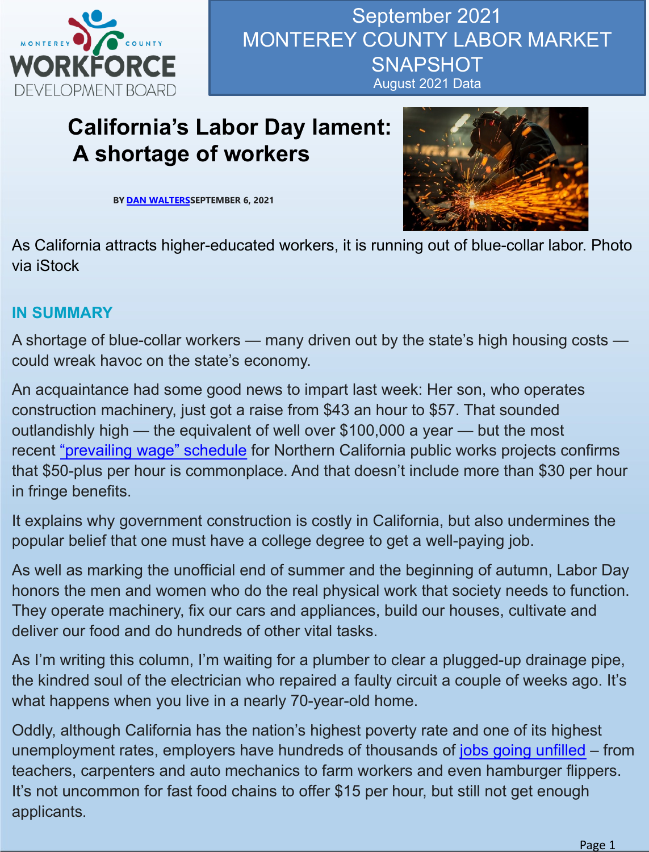

# **California's Labor Day lament: A sh[ortage](https://calmatters.org/author/dan-walters/) of workers**

**BY DAN WALTERSSEPTEMBER 6, 2021**



As California attracts higher-educated workers, it is running out of blue-collar labor. Photo via iStock

#### **IN SUMMARY**

A shortage of blue-collar workers — many driven out by the state's high housing costs could wreak havoc on the state's economy.

An acquaintance had some good news to impart last week: Her son, who operates constr[uction machinery, just got a](https://www.agc-ca.org/uploads/1/3/2/9/132938966/wage_scale_book_north_south_combined_-_12.8.2020.pdf) raise from \$43 an hour to \$57. That sounded outlandishly high — the equivalent of well over \$100,000 a year — but the most recent "prevailing wage" schedule for Northern California public works projects confirms that \$50-plus per hour is commonplace. And that doesn't include more than \$30 per hour in fringe benefits.

It explains why government construction is costly in California, but also undermines the popular belief that one must have a college degree to get a well-paying job.

As well as marking the unofficial end of summer and the beginning of autumn, Labor Day honors the men and women who do the real physical work that society needs to function. They operate machinery, fix our cars and appliances, build our houses, cultivate and deliver our food and do hundreds of other vital tasks.

As I'm writing this column, I'm waiting for a plumber to clear a plugged-up drainage pipe, the kindred soul of the electrician who repaired a faulty circuit a couple of weeks ago. It's what happens when you live in a nearly 70-year-old home.

Oddly, although California has the nation's highest poverty rate and one of its highest unemployment rates, employers have hundreds of thousands of jobs going unfilled – from teachers, carpenters and auto mechanics to farm workers and even hamburger flippers. It's not uncommon for fast food chains to offer \$15 per hour, but still not get enough applicants.